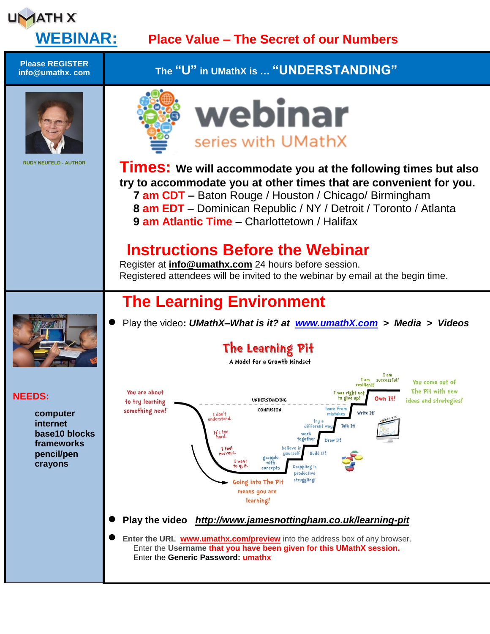

## **WEBINAR: Place Value – The Secret of our Numbers**

You come out of

The Pit with new

ideas and strategies!

**Please REGISTER info@umathx. com The "U" in UMathX is … "UNDERSTANDING"** webinar series with UMathX **RUDY NEUFELD - AUTHOR Times: We will accommodate you at the following times but also try to accommodate you at other times that are convenient for you. 7 am CDT –** Baton Rouge / Houston / Chicago/ Birmingham **8 am EDT** – Dominican Republic / NY / Detroit / Toronto / Atlanta **9 am Atlantic Time** – Charlottetown / Halifax  **Instructions Before the Webinar** Register at **[info@umathx.com](mailto:info@umathx.com)** 24 hours before session. Registered attendees will be invited to the webinar by email at the begin time. **The Learning Environment** Play the video**:** *UMathX–What is it? at [www.umathX.com](http://www.umathx.com/) > Media > Videos* The Learning Pit A Model for a Growth Mindset I am  $I$  am successful! resilie You are about I was right n **NEEDS:** UNDERSTANDING to give up! Own It! to try learning learn from something new! CONFUSION **computer** Write Tt I don't<br>derstand. **internet** tru differe Talk T+! **base10 blocks**  $H<sub>1</sub>$ s too togethe Draw It. **frameworks** T feel **pencil/pen** Ruild 14 grapple<br>with **crayons** Grappling is to quit. concept productive struggling! Going into The Pit means you are learning! **Play the video** *<http://www.jamesnottingham.co.uk/learning-pit>* **Enter the URL [www.umathx.com/preview](http://www.umathx.com/preview)** into the address box of any browser. Enter the **Username that you have been given for this UMathX session.** Enter the **Generic Password: umathx**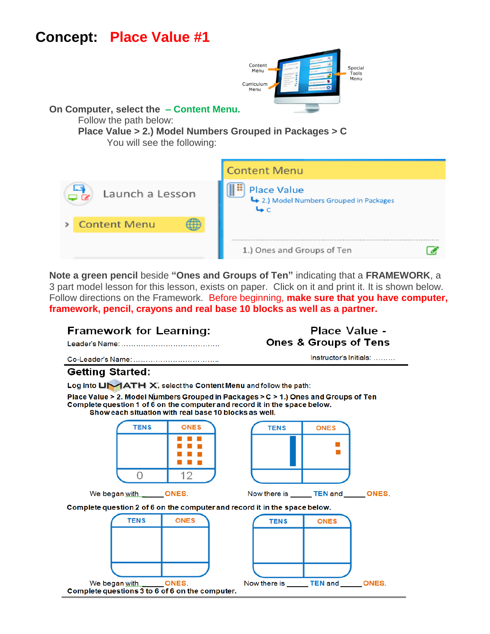# **Concept: Place Value #1**



#### **On Computer, select the – Content Menu.**

Follow the path below:

# **Place Value > 2.) Model Numbers Grouped in Packages > C**

You will see the following:



**Note a green pencil** beside **"Ones and Groups of Ten"** indicating that a **FRAMEWORK**, a 3 part model lesson for this lesson, exists on paper. Click on it and print it. It is shown below. Follow directions on the Framework. Before beginning, **make sure that you have computer, framework, pencil, crayons and real base 10 blocks as well as a partner.**

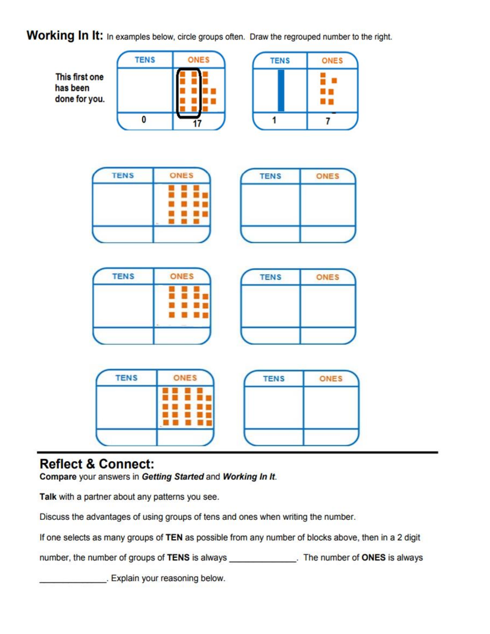### Working In It: In examples below, circle groups often. Draw the regrouped number to the right.



### **Reflect & Connect:**

Compare your answers in Getting Started and Working In It.

Talk with a partner about any patterns you see.

Discuss the advantages of using groups of tens and ones when writing the number.

If one selects as many groups of TEN as possible from any number of blocks above, then in a 2 digit

number, the number of groups of TENS is always \_\_\_\_\_\_\_\_\_\_\_\_. The number of ONES is always

. Explain your reasoning below.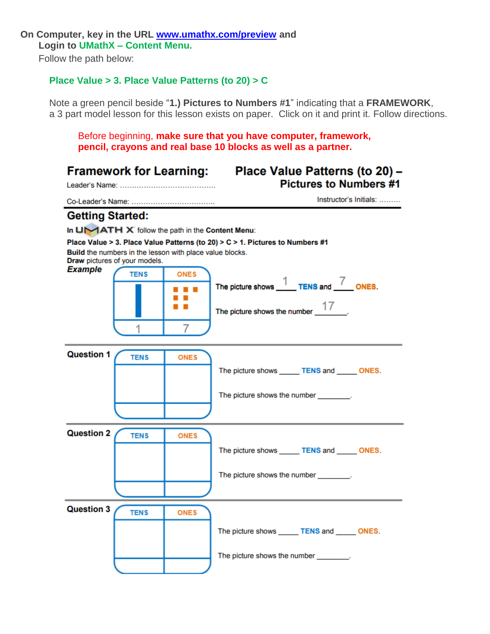#### **On Computer, key in the URL [www.umathx.com/preview](http://www.umathx.com/preview) and Login to UMathX – Content Menu.**

Follow the path below:

### **Place Value > 3. Place Value Patterns (to 20) > C**

Note a green pencil beside "**1.) Pictures to Numbers #1**" indicating that a **FRAMEWORK**, a 3 part model lesson for this lesson exists on paper. Click on it and print it. Follow directions.

Before beginning, **make sure that you have computer, framework, pencil, crayons and real base 10 blocks as well as a partner.**